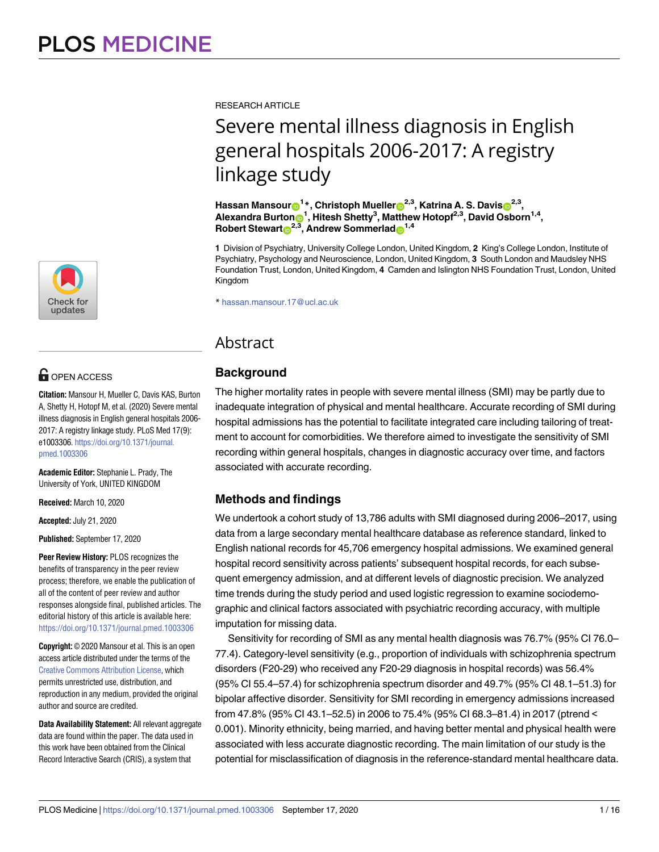[a1111111111](http://crossmark.crossref.org/dialog/?doi=10.1371/journal.pmed.1003306&domain=pdf&date_stamp=2020-09-17) [a1111111111](http://crossmark.crossref.org/dialog/?doi=10.1371/journal.pmed.1003306&domain=pdf&date_stamp=2020-09-17) [a1111111111](http://crossmark.crossref.org/dialog/?doi=10.1371/journal.pmed.1003306&domain=pdf&date_stamp=2020-09-17) Check for updates

## **OPEN ACCESS**

**Citation:** Mansour H, Mueller C, Davis KAS, Burton A, Shetty H, Hotopf M, et al. (2020) Severe mental illness diagnosis in English general hospitals 2006- 2017: A registry linkage study. PLoS Med 17(9): e1003306. [https://doi.org/10.1371/journal.](https://doi.org/10.1371/journal.pmed.1003306) [pmed.1003306](https://doi.org/10.1371/journal.pmed.1003306)

**Academic Editor:** Stephanie L. Prady, The University of York, UNITED KINGDOM

**Received:** March 10, 2020

**Accepted:** July 21, 2020

**Published:** September 17, 2020

**Peer Review History:** PLOS recognizes the benefits of transparency in the peer review process; therefore, we enable the publication of all of the content of peer review and author responses alongside final, published articles. The editorial history of this article is available here: <https://doi.org/10.1371/journal.pmed.1003306>

**Copyright:** © 2020 Mansour et al. This is an open access article distributed under the terms of the Creative Commons [Attribution](http://creativecommons.org/licenses/by/4.0/) License, which permits unrestricted use, distribution, and reproduction in any medium, provided the original author and source are credited.

**Data Availability Statement:** All relevant aggregate data are found within the paper. The data used in this work have been obtained from the Clinical Record Interactive Search (CRIS), a system that

RESEARCH ARTICLE

# Severe mental illness diagnosis in English general hospitals 2006-2017: A registry linkage study

 $\mathbf{H}$ assan Mansour $\mathbf{D}^{1*}$ , Christoph Mueller $\mathbf{D}^{2,3}$ , Katrina A. S. Davis $\mathbf{D}^{2,3}$ ,  $\mathsf{Alexander}^{\mathsf{1},\mathsf{4}}$  **Alexandra Burton**<sup>1,4</sup>, Hitesh Shetty<sup>3</sup>, Matthew Hotopf<sup>2,3</sup>, David Osborn<sup>1,4</sup>, **Robert Stewart**<sup>2,3</sup>, Andrew Sommerlad<sup>1,4</sup>

**1** Division of Psychiatry, University College London, United Kingdom, **2** King's College London, Institute of Psychiatry, Psychology and Neuroscience, London, United Kingdom, **3** South London and Maudsley NHS Foundation Trust, London, United Kingdom, **4** Camden and Islington NHS Foundation Trust, London, United Kingdom

\* hassan.mansour.17@ucl.ac.uk

## Abstract

## **Background**

The higher mortality rates in people with severe mental illness (SMI) may be partly due to inadequate integration of physical and mental healthcare. Accurate recording of SMI during hospital admissions has the potential to facilitate integrated care including tailoring of treatment to account for comorbidities. We therefore aimed to investigate the sensitivity of SMI recording within general hospitals, changes in diagnostic accuracy over time, and factors associated with accurate recording.

## **Methods and findings**

We undertook a cohort study of 13,786 adults with SMI diagnosed during 2006–2017, using data from a large secondary mental healthcare database as reference standard, linked to English national records for 45,706 emergency hospital admissions. We examined general hospital record sensitivity across patients' subsequent hospital records, for each subsequent emergency admission, and at different levels of diagnostic precision. We analyzed time trends during the study period and used logistic regression to examine sociodemographic and clinical factors associated with psychiatric recording accuracy, with multiple imputation for missing data.

Sensitivity for recording of SMI as any mental health diagnosis was 76.7% (95% CI 76.0– 77.4). Category-level sensitivity (e.g., proportion of individuals with schizophrenia spectrum disorders (F20-29) who received any F20-29 diagnosis in hospital records) was 56.4% (95% CI 55.4–57.4) for schizophrenia spectrum disorder and 49.7% (95% CI 48.1–51.3) for bipolar affective disorder. Sensitivity for SMI recording in emergency admissions increased from 47.8% (95% CI 43.1–52.5) in 2006 to 75.4% (95% CI 68.3–81.4) in 2017 (ptrend < 0.001). Minority ethnicity, being married, and having better mental and physical health were associated with less accurate diagnostic recording. The main limitation of our study is the potential for misclassification of diagnosis in the reference-standard mental healthcare data.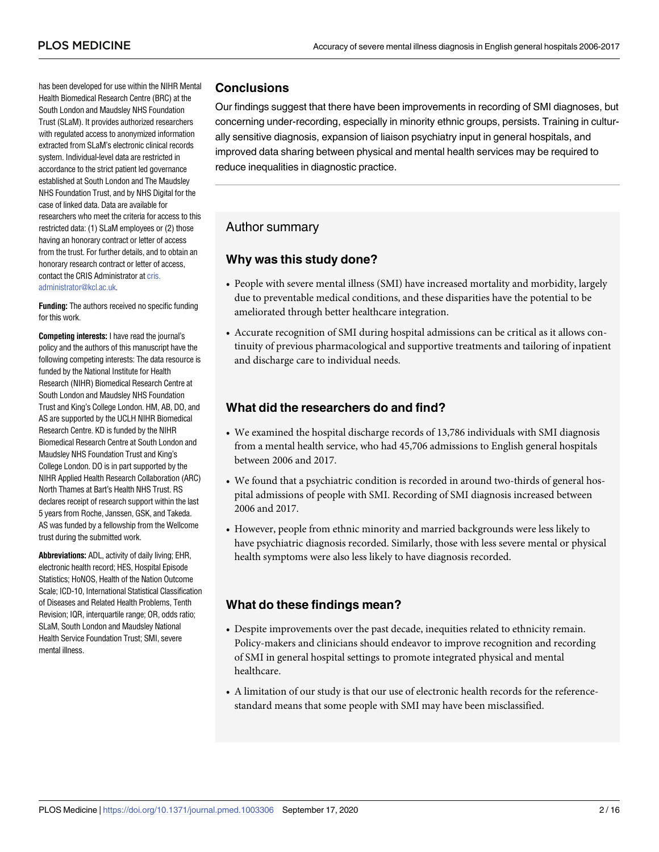has been developed for use within the NIHR Mental Health Biomedical Research Centre (BRC) at the South London and Maudsley NHS Foundation Trust (SLaM). It provides authorized researchers with regulated access to anonymized information extracted from SLaM's electronic clinical records system. Individual-level data are restricted in accordance to the strict patient led governance established at South London and The Maudsley NHS Foundation Trust, and by NHS Digital for the case of linked data. Data are available for researchers who meet the criteria for access to this restricted data: (1) SLaM employees or (2) those having an honorary contract or letter of access from the trust. For further details, and to obtain an honorary research contract or letter of access, contact the CRIS Administrator at [cris.](mailto:cris.administrator@kcl.ac.uk) [administrator@kcl.ac.uk.](mailto:cris.administrator@kcl.ac.uk)

**Funding:** The authors received no specific funding for this work.

**Competing interests:** I have read the journal's policy and the authors of this manuscript have the following competing interests: The data resource is funded by the National Institute for Health Research (NIHR) Biomedical Research Centre at South London and Maudsley NHS Foundation Trust and King's College London. HM, AB, DO, and AS are supported by the UCLH NIHR Biomedical Research Centre. KD is funded by the NIHR Biomedical Research Centre at South London and Maudsley NHS Foundation Trust and King's College London. DO is in part supported by the NIHR Applied Health Research Collaboration (ARC) North Thames at Bart's Health NHS Trust. RS declares receipt of research support within the last 5 years from Roche, Janssen, GSK, and Takeda. AS was funded by a fellowship from the Wellcome trust during the submitted work.

**Abbreviations:** ADL, activity of daily living; EHR, electronic health record; HES, Hospital Episode Statistics; HoNOS, Health of the Nation Outcome Scale; ICD-10, International Statistical Classification of Diseases and Related Health Problems, Tenth Revision; IQR, interquartile range; OR, odds ratio; SLaM, South London and Maudsley National Health Service Foundation Trust; SMI, severe mental illness.

## **Conclusions**

Our findings suggest that there have been improvements in recording of SMI diagnoses, but concerning under-recording, especially in minority ethnic groups, persists. Training in culturally sensitive diagnosis, expansion of liaison psychiatry input in general hospitals, and improved data sharing between physical and mental health services may be required to reduce inequalities in diagnostic practice.

## Author summary

## **Why was this study done?**

- People with severe mental illness (SMI) have increased mortality and morbidity, largely due to preventable medical conditions, and these disparities have the potential to be ameliorated through better healthcare integration.
- Accurate recognition of SMI during hospital admissions can be critical as it allows continuity of previous pharmacological and supportive treatments and tailoring of inpatient and discharge care to individual needs.

## **What did the researchers do and find?**

- We examined the hospital discharge records of 13,786 individuals with SMI diagnosis from a mental health service, who had 45,706 admissions to English general hospitals between 2006 and 2017.
- We found that a psychiatric condition is recorded in around two-thirds of general hospital admissions of people with SMI. Recording of SMI diagnosis increased between 2006 and 2017.
- However, people from ethnic minority and married backgrounds were less likely to have psychiatric diagnosis recorded. Similarly, those with less severe mental or physical health symptoms were also less likely to have diagnosis recorded.

## **What do these findings mean?**

- Despite improvements over the past decade, inequities related to ethnicity remain. Policy-makers and clinicians should endeavor to improve recognition and recording of SMI in general hospital settings to promote integrated physical and mental healthcare.
- A limitation of our study is that our use of electronic health records for the referencestandard means that some people with SMI may have been misclassified.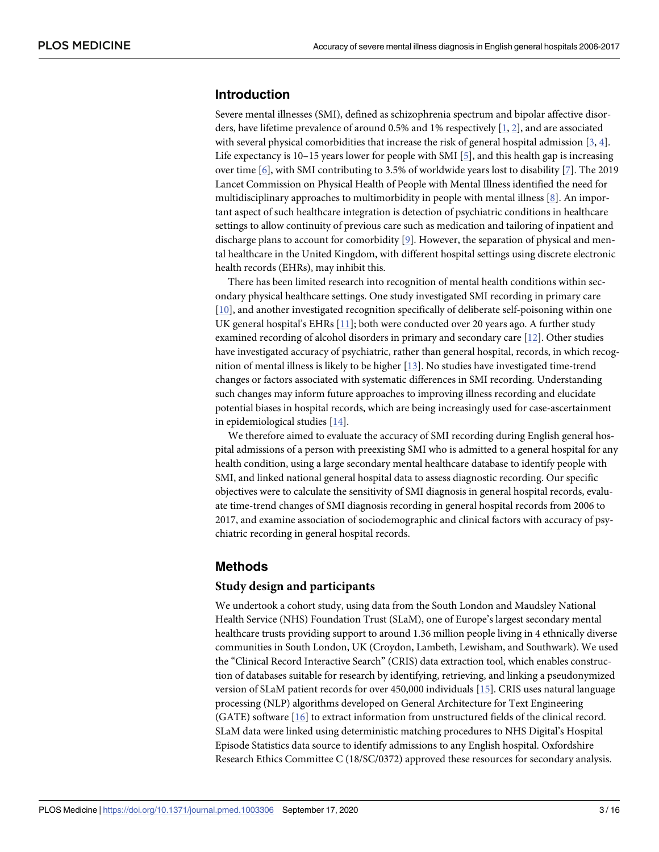### <span id="page-2-0"></span>**Introduction**

Severe mental illnesses (SMI), defined as schizophrenia spectrum and bipolar affective disorders, have lifetime prevalence of around 0.5% and 1% respectively [\[1](#page-13-0), [2](#page-14-0)], and are associated with several physical comorbidities that increase the risk of general hospital admission  $[3, 4]$  $[3, 4]$  $[3, 4]$  $[3, 4]$ . Life expectancy is 10–15 years lower for people with SMI [[5\]](#page-14-0), and this health gap is increasing over time [\[6](#page-14-0)], with SMI contributing to 3.5% of worldwide years lost to disability [\[7](#page-14-0)]. The 2019 Lancet Commission on Physical Health of People with Mental Illness identified the need for multidisciplinary approaches to multimorbidity in people with mental illness [\[8\]](#page-14-0). An important aspect of such healthcare integration is detection of psychiatric conditions in healthcare settings to allow continuity of previous care such as medication and tailoring of inpatient and discharge plans to account for comorbidity [\[9](#page-14-0)]. However, the separation of physical and mental healthcare in the United Kingdom, with different hospital settings using discrete electronic health records (EHRs), may inhibit this.

There has been limited research into recognition of mental health conditions within secondary physical healthcare settings. One study investigated SMI recording in primary care [\[10\]](#page-14-0), and another investigated recognition specifically of deliberate self-poisoning within one UK general hospital's EHRs [[11](#page-14-0)]; both were conducted over 20 years ago. A further study examined recording of alcohol disorders in primary and secondary care [\[12\]](#page-14-0). Other studies have investigated accuracy of psychiatric, rather than general hospital, records, in which recognition of mental illness is likely to be higher [[13](#page-14-0)]. No studies have investigated time-trend changes or factors associated with systematic differences in SMI recording. Understanding such changes may inform future approaches to improving illness recording and elucidate potential biases in hospital records, which are being increasingly used for case-ascertainment in epidemiological studies [\[14\]](#page-14-0).

We therefore aimed to evaluate the accuracy of SMI recording during English general hospital admissions of a person with preexisting SMI who is admitted to a general hospital for any health condition, using a large secondary mental healthcare database to identify people with SMI, and linked national general hospital data to assess diagnostic recording. Our specific objectives were to calculate the sensitivity of SMI diagnosis in general hospital records, evaluate time-trend changes of SMI diagnosis recording in general hospital records from 2006 to 2017, and examine association of sociodemographic and clinical factors with accuracy of psychiatric recording in general hospital records.

## **Methods**

#### **Study design and participants**

We undertook a cohort study, using data from the South London and Maudsley National Health Service (NHS) Foundation Trust (SLaM), one of Europe's largest secondary mental healthcare trusts providing support to around 1.36 million people living in 4 ethnically diverse communities in South London, UK (Croydon, Lambeth, Lewisham, and Southwark). We used the "Clinical Record Interactive Search" (CRIS) data extraction tool, which enables construction of databases suitable for research by identifying, retrieving, and linking a pseudonymized version of SLaM patient records for over 450,000 individuals [[15](#page-14-0)]. CRIS uses natural language processing (NLP) algorithms developed on General Architecture for Text Engineering (GATE) software [\[16\]](#page-14-0) to extract information from unstructured fields of the clinical record. SLaM data were linked using deterministic matching procedures to NHS Digital's Hospital Episode Statistics data source to identify admissions to any English hospital. Oxfordshire Research Ethics Committee C (18/SC/0372) approved these resources for secondary analysis.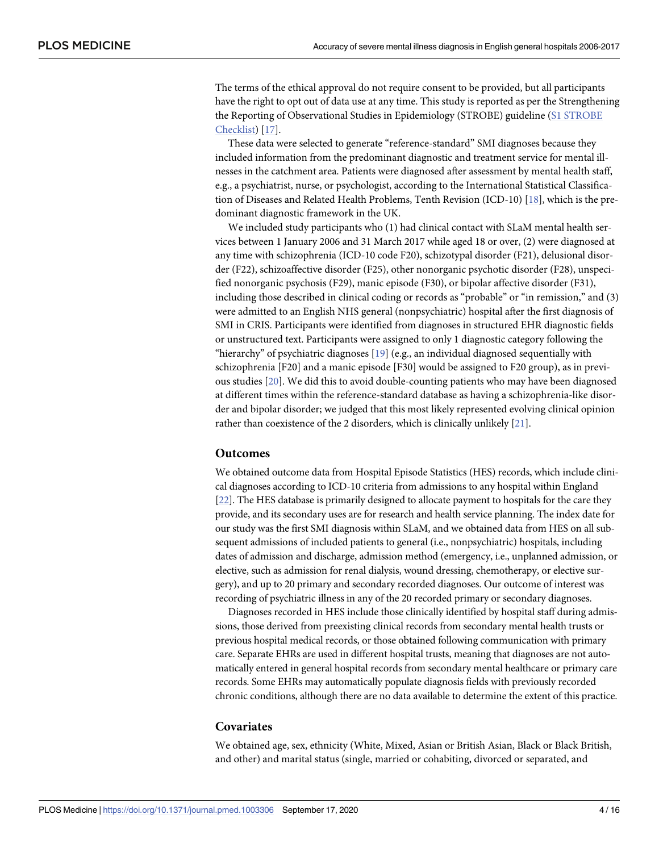<span id="page-3-0"></span>The terms of the ethical approval do not require consent to be provided, but all participants have the right to opt out of data use at any time. This study is reported as per the Strengthening the Reporting of Observational Studies in Epidemiology (STROBE) guideline (S1 [STROBE](#page-12-0) [Checklist](#page-12-0)) [\[17\]](#page-14-0).

These data were selected to generate "reference-standard" SMI diagnoses because they included information from the predominant diagnostic and treatment service for mental illnesses in the catchment area. Patients were diagnosed after assessment by mental health staff, e.g., a psychiatrist, nurse, or psychologist, according to the International Statistical Classification of Diseases and Related Health Problems, Tenth Revision (ICD-10) [\[18\]](#page-14-0), which is the predominant diagnostic framework in the UK.

We included study participants who (1) had clinical contact with SLaM mental health services between 1 January 2006 and 31 March 2017 while aged 18 or over, (2) were diagnosed at any time with schizophrenia (ICD-10 code F20), schizotypal disorder (F21), delusional disorder (F22), schizoaffective disorder (F25), other nonorganic psychotic disorder (F28), unspecified nonorganic psychosis (F29), manic episode (F30), or bipolar affective disorder (F31), including those described in clinical coding or records as "probable" or "in remission," and (3) were admitted to an English NHS general (nonpsychiatric) hospital after the first diagnosis of SMI in CRIS. Participants were identified from diagnoses in structured EHR diagnostic fields or unstructured text. Participants were assigned to only 1 diagnostic category following the "hierarchy" of psychiatric diagnoses [\[19\]](#page-14-0) (e.g., an individual diagnosed sequentially with schizophrenia [F20] and a manic episode [F30] would be assigned to F20 group), as in previous studies [\[20\]](#page-14-0). We did this to avoid double-counting patients who may have been diagnosed at different times within the reference-standard database as having a schizophrenia-like disorder and bipolar disorder; we judged that this most likely represented evolving clinical opinion rather than coexistence of the 2 disorders, which is clinically unlikely [\[21\]](#page-14-0).

#### **Outcomes**

We obtained outcome data from Hospital Episode Statistics (HES) records, which include clinical diagnoses according to ICD-10 criteria from admissions to any hospital within England [\[22\]](#page-14-0). The HES database is primarily designed to allocate payment to hospitals for the care they provide, and its secondary uses are for research and health service planning. The index date for our study was the first SMI diagnosis within SLaM, and we obtained data from HES on all subsequent admissions of included patients to general (i.e., nonpsychiatric) hospitals, including dates of admission and discharge, admission method (emergency, i.e., unplanned admission, or elective, such as admission for renal dialysis, wound dressing, chemotherapy, or elective surgery), and up to 20 primary and secondary recorded diagnoses. Our outcome of interest was recording of psychiatric illness in any of the 20 recorded primary or secondary diagnoses.

Diagnoses recorded in HES include those clinically identified by hospital staff during admissions, those derived from preexisting clinical records from secondary mental health trusts or previous hospital medical records, or those obtained following communication with primary care. Separate EHRs are used in different hospital trusts, meaning that diagnoses are not automatically entered in general hospital records from secondary mental healthcare or primary care records. Some EHRs may automatically populate diagnosis fields with previously recorded chronic conditions, although there are no data available to determine the extent of this practice.

#### **Covariates**

We obtained age, sex, ethnicity (White, Mixed, Asian or British Asian, Black or Black British, and other) and marital status (single, married or cohabiting, divorced or separated, and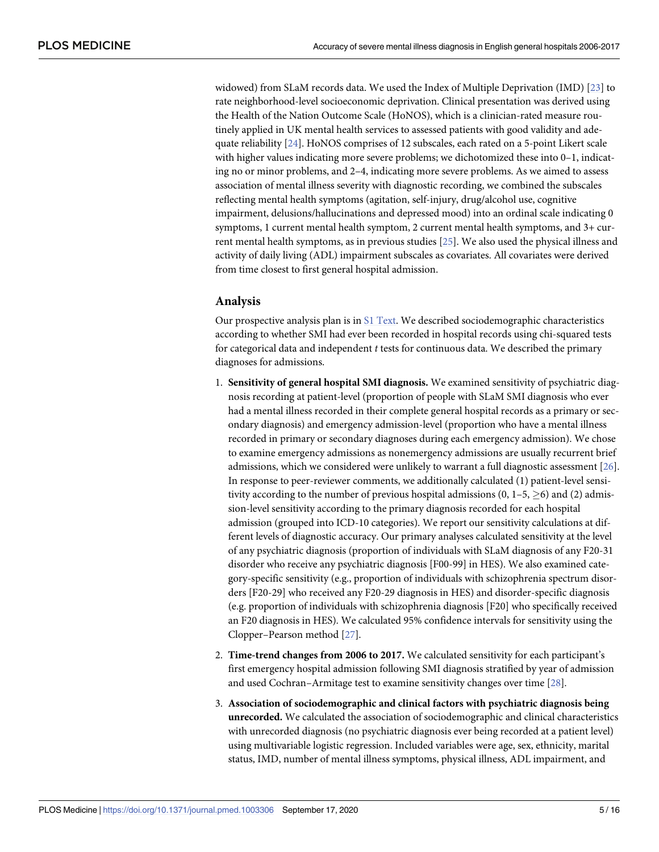<span id="page-4-0"></span>widowed) from SLaM records data. We used the Index of Multiple Deprivation (IMD) [[23](#page-14-0)] to rate neighborhood-level socioeconomic deprivation. Clinical presentation was derived using the Health of the Nation Outcome Scale (HoNOS), which is a clinician-rated measure routinely applied in UK mental health services to assessed patients with good validity and adequate reliability [[24](#page-15-0)]. HoNOS comprises of 12 subscales, each rated on a 5-point Likert scale with higher values indicating more severe problems; we dichotomized these into 0–1, indicating no or minor problems, and 2–4, indicating more severe problems. As we aimed to assess association of mental illness severity with diagnostic recording, we combined the subscales reflecting mental health symptoms (agitation, self-injury, drug/alcohol use, cognitive impairment, delusions/hallucinations and depressed mood) into an ordinal scale indicating 0 symptoms, 1 current mental health symptom, 2 current mental health symptoms, and 3+ current mental health symptoms, as in previous studies [\[25\]](#page-15-0). We also used the physical illness and activity of daily living (ADL) impairment subscales as covariates. All covariates were derived from time closest to first general hospital admission.

#### **Analysis**

Our prospective analysis plan is in S1 [Text.](#page-12-0) We described sociodemographic characteristics according to whether SMI had ever been recorded in hospital records using chi-squared tests for categorical data and independent *t* tests for continuous data. We described the primary diagnoses for admissions.

- 1. **Sensitivity of general hospital SMI diagnosis.** We examined sensitivity of psychiatric diagnosis recording at patient-level (proportion of people with SLaM SMI diagnosis who ever had a mental illness recorded in their complete general hospital records as a primary or secondary diagnosis) and emergency admission-level (proportion who have a mental illness recorded in primary or secondary diagnoses during each emergency admission). We chose to examine emergency admissions as nonemergency admissions are usually recurrent brief admissions, which we considered were unlikely to warrant a full diagnostic assessment [[26](#page-15-0)]. In response to peer-reviewer comments, we additionally calculated (1) patient-level sensitivity according to the number of previous hospital admissions  $(0, 1-5, \geq 6)$  and  $(2)$  admission-level sensitivity according to the primary diagnosis recorded for each hospital admission (grouped into ICD-10 categories). We report our sensitivity calculations at different levels of diagnostic accuracy. Our primary analyses calculated sensitivity at the level of any psychiatric diagnosis (proportion of individuals with SLaM diagnosis of any F20-31 disorder who receive any psychiatric diagnosis [F00-99] in HES). We also examined category-specific sensitivity (e.g., proportion of individuals with schizophrenia spectrum disorders [F20-29] who received any F20-29 diagnosis in HES) and disorder-specific diagnosis (e.g. proportion of individuals with schizophrenia diagnosis [F20] who specifically received an F20 diagnosis in HES). We calculated 95% confidence intervals for sensitivity using the Clopper–Pearson method [[27](#page-15-0)].
- 2. **Time-trend changes from 2006 to 2017.** We calculated sensitivity for each participant's first emergency hospital admission following SMI diagnosis stratified by year of admission and used Cochran-Armitage test to examine sensitivity changes over time [[28](#page-15-0)].
- 3. **Association of sociodemographic and clinical factors with psychiatric diagnosis being unrecorded.** We calculated the association of sociodemographic and clinical characteristics with unrecorded diagnosis (no psychiatric diagnosis ever being recorded at a patient level) using multivariable logistic regression. Included variables were age, sex, ethnicity, marital status, IMD, number of mental illness symptoms, physical illness, ADL impairment, and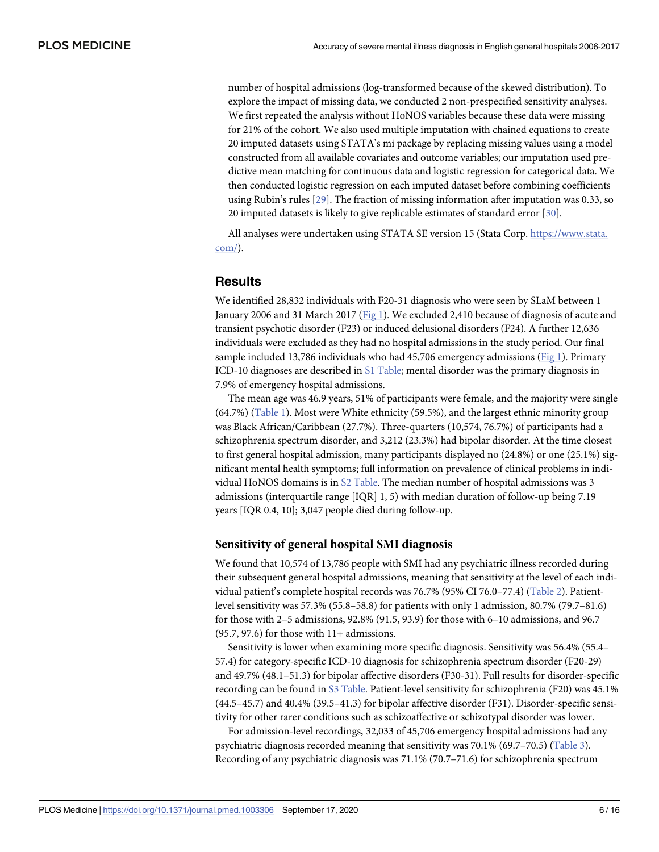<span id="page-5-0"></span>number of hospital admissions (log-transformed because of the skewed distribution). To explore the impact of missing data, we conducted 2 non-prespecified sensitivity analyses. We first repeated the analysis without HoNOS variables because these data were missing for 21% of the cohort. We also used multiple imputation with chained equations to create 20 imputed datasets using STATA's mi package by replacing missing values using a model constructed from all available covariates and outcome variables; our imputation used predictive mean matching for continuous data and logistic regression for categorical data. We then conducted logistic regression on each imputed dataset before combining coefficients using Rubin's rules [\[29\]](#page-15-0). The fraction of missing information after imputation was 0.33, so 20 imputed datasets is likely to give replicable estimates of standard error [\[30\]](#page-15-0).

All analyses were undertaken using STATA SE version 15 (Stata Corp. [https://www.stata.](https://www.stata.com/) [com/\)](https://www.stata.com/).

#### **Results**

We identified 28,832 individuals with F20-31 diagnosis who were seen by SLaM between 1 January 2006 and 31 March 2017 ([Fig](#page-6-0) 1). We excluded 2,410 because of diagnosis of acute and transient psychotic disorder (F23) or induced delusional disorders (F24). A further 12,636 individuals were excluded as they had no hospital admissions in the study period. Our final sample included 13,786 individuals who had 45,706 emergency admissions ([Fig](#page-6-0) 1). Primary ICD-10 diagnoses are described in S1 [Table;](#page-13-0) mental disorder was the primary diagnosis in 7.9% of emergency hospital admissions.

The mean age was 46.9 years, 51% of participants were female, and the majority were single (64.7%) ([Table](#page-7-0) 1). Most were White ethnicity (59.5%), and the largest ethnic minority group was Black African/Caribbean (27.7%). Three-quarters (10,574, 76.7%) of participants had a schizophrenia spectrum disorder, and 3,212 (23.3%) had bipolar disorder. At the time closest to first general hospital admission, many participants displayed no (24.8%) or one (25.1%) significant mental health symptoms; full information on prevalence of clinical problems in individual HoNOS domains is in S2 [Table.](#page-13-0) The median number of hospital admissions was 3 admissions (interquartile range [IQR] 1, 5) with median duration of follow-up being 7.19 years [IQR 0.4, 10]; 3,047 people died during follow-up.

#### **Sensitivity of general hospital SMI diagnosis**

We found that 10,574 of 13,786 people with SMI had any psychiatric illness recorded during their subsequent general hospital admissions, meaning that sensitivity at the level of each individual patient's complete hospital records was 76.7% (95% CI 76.0–77.4) ([Table](#page-8-0) 2). Patientlevel sensitivity was 57.3% (55.8–58.8) for patients with only 1 admission, 80.7% (79.7–81.6) for those with 2–5 admissions, 92.8% (91.5, 93.9) for those with 6–10 admissions, and 96.7  $(95.7, 97.6)$  for those with  $11+$  admissions.

Sensitivity is lower when examining more specific diagnosis. Sensitivity was 56.4% (55.4– 57.4) for category-specific ICD-10 diagnosis for schizophrenia spectrum disorder (F20-29) and 49.7% (48.1–51.3) for bipolar affective disorders (F30-31). Full results for disorder-specific recording can be found in S3 [Table](#page-13-0). Patient-level sensitivity for schizophrenia (F20) was 45.1% (44.5–45.7) and 40.4% (39.5–41.3) for bipolar affective disorder (F31). Disorder-specific sensitivity for other rarer conditions such as schizoaffective or schizotypal disorder was lower.

For admission-level recordings, 32,033 of 45,706 emergency hospital admissions had any psychiatric diagnosis recorded meaning that sensitivity was 70.1% (69.7–70.5) [\(Table](#page-8-0) 3). Recording of any psychiatric diagnosis was 71.1% (70.7–71.6) for schizophrenia spectrum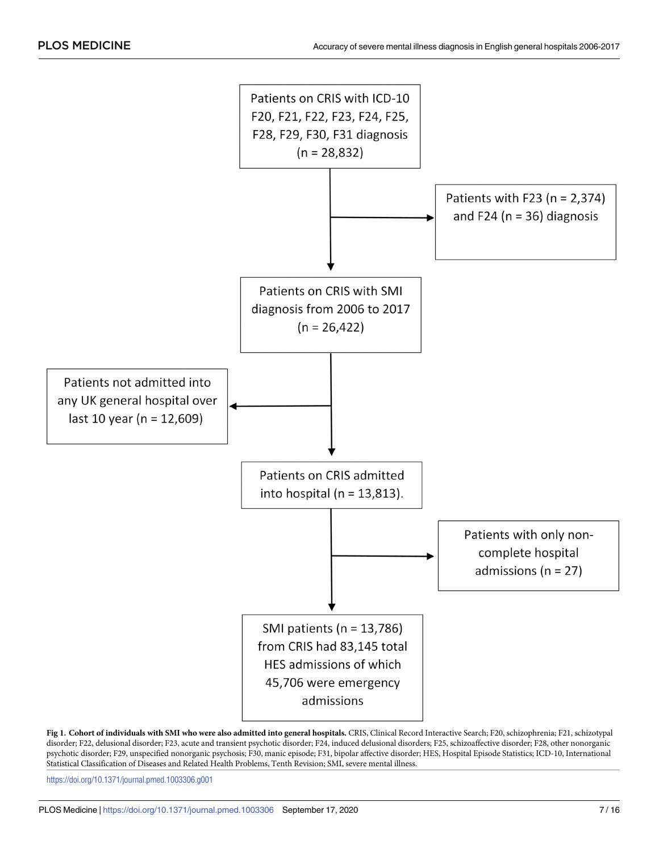<span id="page-6-0"></span>

[Fig](#page-5-0) 1. Cohort of individuals with SMI who were also admitted into general hospitals. CRIS, Clinical Record Interactive Search; F20, schizophrenia; F21, schizotypal disorder; F22, delusional disorder; F23, acute and transient psychotic disorder; F24, induced delusional disorders; F25, schizoaffective disorder; F28, other nonorganic psychotic disorder; F29, unspecified nonorganic psychosis; F30, manic episode; F31, bipolar affective disorder; HES, Hospital Episode Statistics; ICD-10, International Statistical Classification of Diseases and Related Health Problems, Tenth Revision; SMI, severe mental illness.

<https://doi.org/10.1371/journal.pmed.1003306.g001>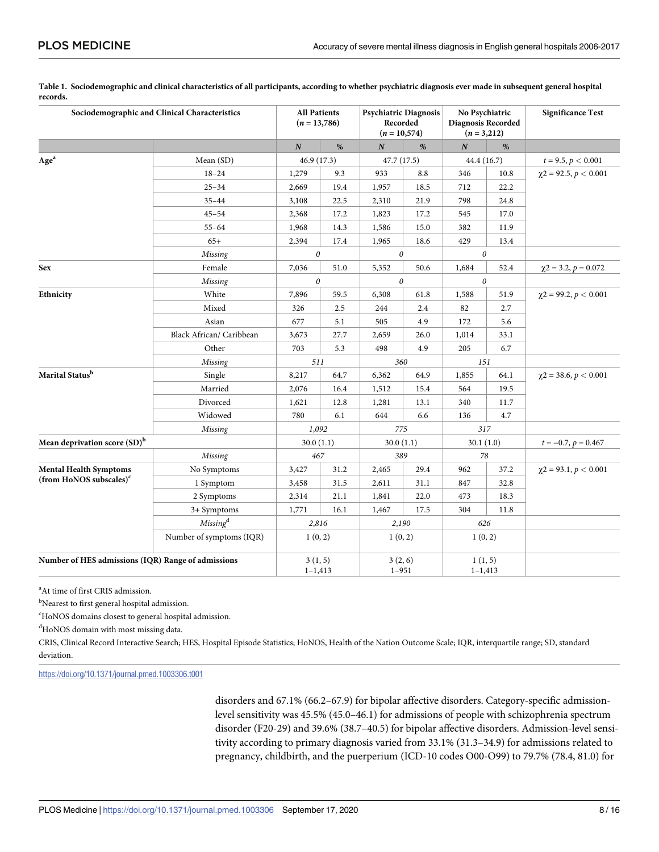| Sociodemographic and Clinical Characteristics                        |                          |                        | <b>All Patients</b><br>Psychiatric Diagnosis<br>Recorded<br>$(n = 13,786)$<br>$(n = 10, 574)$ |                      |      | No Psychiatric<br>Diagnosis Recorded<br>$(n = 3,212)$ |                       | <b>Significance Test</b>     |
|----------------------------------------------------------------------|--------------------------|------------------------|-----------------------------------------------------------------------------------------------|----------------------|------|-------------------------------------------------------|-----------------------|------------------------------|
|                                                                      |                          | $\boldsymbol{N}$       | $\%$                                                                                          | $\boldsymbol{N}$     | $\%$ | $\boldsymbol{N}$                                      | %                     |                              |
| Age <sup>a</sup>                                                     | Mean (SD)                | 46.9 (17.3)            |                                                                                               | 47.7(17.5)           |      | 44.4 (16.7)                                           |                       | $t = 9.5, p < 0.001$         |
|                                                                      | $18 - 24$                | 1,279                  | 9.3                                                                                           | 933                  | 8.8  | 346                                                   | 10.8                  | $\chi$ 2 = 92.5, $p < 0.001$ |
|                                                                      | $25 - 34$                | 2,669                  | 19.4                                                                                          | 1,957                | 18.5 | 712                                                   | 22.2                  |                              |
|                                                                      | $35 - 44$                | 3,108                  | 22.5                                                                                          | 2,310                | 21.9 | 798                                                   | 24.8                  |                              |
|                                                                      | $45 - 54$                | 2,368                  | 17.2                                                                                          | 1,823                | 17.2 | 545                                                   | 17.0                  |                              |
|                                                                      | $55 - 64$                | 1,968                  | 14.3                                                                                          | 1,586                | 15.0 | 382                                                   | 11.9                  |                              |
|                                                                      | $65+$                    | 2,394                  | 17.4                                                                                          | 1,965                | 18.6 | 429                                                   | 13.4                  |                              |
|                                                                      | Missing                  | 0                      |                                                                                               | $\theta$             |      |                                                       | $\boldsymbol{\theta}$ |                              |
| <b>Sex</b>                                                           | Female                   | 7,036                  | 51.0                                                                                          | 5,352                | 50.6 | 1,684                                                 | 52.4                  | $\chi$ 2 = 3.2, $p = 0.072$  |
|                                                                      | Missing                  | 0                      |                                                                                               | $\boldsymbol{0}$     |      | $\boldsymbol{\theta}$                                 |                       |                              |
| Ethnicity                                                            | White                    | 7,896                  | 59.5                                                                                          | 6,308                | 61.8 | 1,588                                                 | 51.9                  | $\chi$ 2 = 99.2, $p < 0.001$ |
|                                                                      | Mixed                    | 326                    | 2.5                                                                                           | 244                  | 2.4  | 82                                                    | 2.7                   |                              |
|                                                                      | Asian                    | 677                    | 5.1                                                                                           | 505                  | 4.9  | 172                                                   | 5.6                   |                              |
|                                                                      | Black African/ Caribbean | 3,673                  | 27.7                                                                                          | 2,659                | 26.0 | 1,014                                                 | 33.1                  |                              |
|                                                                      | Other                    | 703                    | 5.3                                                                                           | 498                  | 4.9  | 205                                                   | 6.7                   |                              |
|                                                                      | Missing                  | 511<br>360             |                                                                                               | 151                  |      |                                                       |                       |                              |
| Marital Status <sup>b</sup>                                          | Single                   | 8,217                  | 64.7                                                                                          | 6,362                | 64.9 | 1,855                                                 | 64.1                  | $\chi$ 2 = 38.6, $p < 0.001$ |
|                                                                      | Married                  | 2,076                  | 16.4                                                                                          | 1,512                | 15.4 | 564                                                   | 19.5                  |                              |
|                                                                      | Divorced                 | 1,621                  | 12.8                                                                                          | 1,281                | 13.1 | 340                                                   | 11.7                  |                              |
|                                                                      | Widowed                  | 780                    | 6.1                                                                                           | 644                  | 6.6  | 136                                                   | 4.7                   |                              |
|                                                                      | Missing                  | 1,092                  |                                                                                               | 775                  |      | 317                                                   |                       |                              |
| Mean deprivation score (SD) <sup>b</sup>                             |                          | 30.0(1.1)              |                                                                                               | 30.0(1.1)            |      | 30.1(1.0)                                             |                       | $t = -0.7, p = 0.467$        |
|                                                                      | Missing                  | 467                    |                                                                                               | 389                  |      | 78                                                    |                       |                              |
| <b>Mental Health Symptoms</b><br>(from HoNOS subscales) <sup>c</sup> | No Symptoms              | 3,427                  | 31.2                                                                                          | 2,465                | 29.4 | 962                                                   | 37.2                  | $\chi$ 2 = 93.1, $p < 0.001$ |
|                                                                      | 1 Symptom                | 3,458                  | 31.5                                                                                          | 2,611                | 31.1 | 847                                                   | 32.8                  |                              |
|                                                                      | 2 Symptoms               | 2,314                  | 21.1                                                                                          | 1,841                | 22.0 | 473                                                   | 18.3                  |                              |
|                                                                      | 3+ Symptoms              | 1,771                  | 16.1                                                                                          | 1,467                | 17.5 | 304                                                   | 11.8                  |                              |
|                                                                      | Missing <sup>d</sup>     | 2,816                  |                                                                                               | 2,190                |      | 626                                                   |                       |                              |
|                                                                      | Number of symptoms (IQR) | 1(0, 2)                |                                                                                               | 1(0, 2)              |      | 1(0, 2)                                               |                       |                              |
| Number of HES admissions (IQR) Range of admissions                   |                          | 3(1, 5)<br>$1 - 1.413$ |                                                                                               | 3(2, 6)<br>$1 - 951$ |      | 1(1, 5)                                               | $1 - 1.413$           |                              |

<span id="page-7-0"></span>[Table](#page-5-0) 1. Sociodemographic and clinical characteristics of all participants, according to whether psychiatric diagnosis ever made in subsequent general hospital **records.**

<sup>a</sup>At time of first CRIS admission.

<sup>b</sup>Nearest to first general hospital admission.

c HoNOS domains closest to general hospital admission.

d HoNOS domain with most missing data.

CRIS, Clinical Record Interactive Search; HES, Hospital Episode Statistics; HoNOS, Health of the Nation Outcome Scale; IQR, interquartile range; SD, standard deviation.

<https://doi.org/10.1371/journal.pmed.1003306.t001>

disorders and 67.1% (66.2–67.9) for bipolar affective disorders. Category-specific admissionlevel sensitivity was 45.5% (45.0–46.1) for admissions of people with schizophrenia spectrum disorder (F20-29) and 39.6% (38.7–40.5) for bipolar affective disorders. Admission-level sensitivity according to primary diagnosis varied from 33.1% (31.3–34.9) for admissions related to pregnancy, childbirth, and the puerperium (ICD-10 codes O00-O99) to 79.7% (78.4, 81.0) for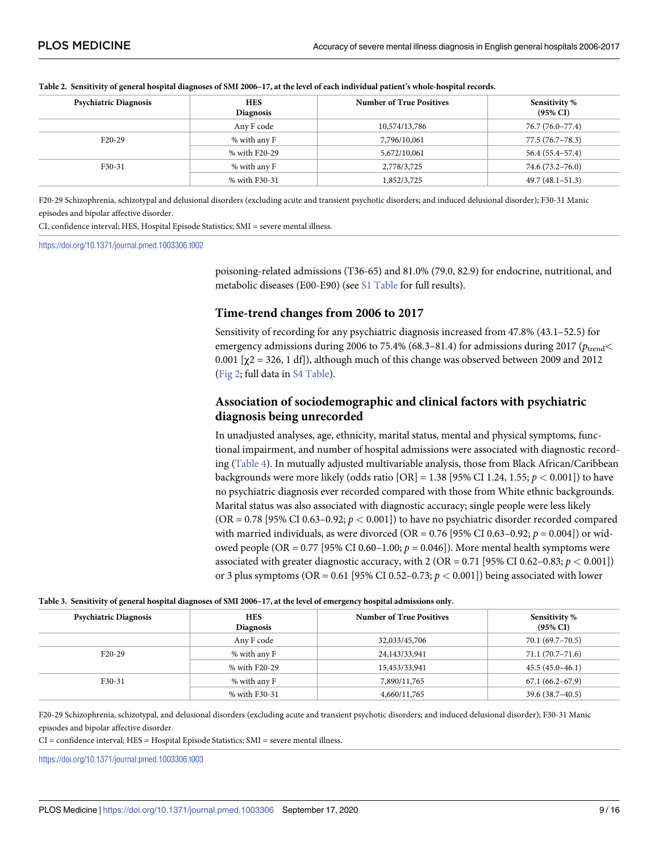| <b>Psychiatric Diagnosis</b> | <b>HES</b><br><b>Diagnosis</b> | <b>Number of True Positives</b> | <b>Sensitivity %</b><br>$(95\% \text{ CI})$ |  |
|------------------------------|--------------------------------|---------------------------------|---------------------------------------------|--|
|                              | Any F code                     | 10,574/13,786                   | 76.7 (76.0–77.4)                            |  |
| $F20-29$                     | % with any F                   | 7,796/10,061                    | 77.5 (76.7–78.3)                            |  |
|                              | % with F20-29                  | 5,672/10,061                    | $56.4(55.4-57.4)$                           |  |
| F30-31                       | % with any F                   | 2,778/3,725                     | 74.6 (73.2–76.0)                            |  |
|                              | % with F30-31                  | 1,852/3,725                     | $49.7(48.1 - 51.3)$                         |  |

<span id="page-8-0"></span>

| Table 2. Sensitivity of general hospital diagnoses of SMI 2006-17, at the level of each individual patient's whole-hospital records. |  |  |  |  |  |  |  |  |
|--------------------------------------------------------------------------------------------------------------------------------------|--|--|--|--|--|--|--|--|
|--------------------------------------------------------------------------------------------------------------------------------------|--|--|--|--|--|--|--|--|

F20-29 Schizophrenia, schizotypal and delusional disorders (excluding acute and transient psychotic disorders; and induced delusional disorder); F30-31 Manic episodes and bipolar affective disorder.

CI, confidence interval; HES, Hospital Episode Statistics; SMI = severe mental illness.

<https://doi.org/10.1371/journal.pmed.1003306.t002>

poisoning-related admissions (T36-65) and 81.0% (79.0, 82.9) for endocrine, nutritional, and metabolic diseases (E00-E90) (see S1 [Table](#page-13-0) for full results).

#### **Time-trend changes from 2006 to 2017**

Sensitivity of recording for any psychiatric diagnosis increased from 47.8% (43.1–52.5) for emergency admissions during 2006 to 75.4% (68.3–81.4) for admissions during 2017 ( $p_{trend}$ 0.001  $[\chi^2 = 326, 1 \text{ df}]$ , although much of this change was observed between 2009 and 2012 [\(Fig](#page-9-0) 2; full data in S4 [Table](#page-13-0)).

### **Association of sociodemographic and clinical factors with psychiatric diagnosis being unrecorded**

In unadjusted analyses, age, ethnicity, marital status, mental and physical symptoms, functional impairment, and number of hospital admissions were associated with diagnostic recording [\(Table](#page-9-0) 4). In mutually adjusted multivariable analysis, those from Black African/Caribbean backgrounds were more likely (odds ratio [OR] = 1.38 [95% CI 1.24, 1.55; *p <* 0.001]) to have no psychiatric diagnosis ever recorded compared with those from White ethnic backgrounds. Marital status was also associated with diagnostic accuracy; single people were less likely  $(OR = 0.78$  [95% CI 0.63–0.92;  $p < 0.001$ ]) to have no psychiatric disorder recorded compared with married individuals, as were divorced (OR = 0.76 [95% CI 0.63–0.92; *p* = 0.004]) or widowed people (OR =  $0.77$  [95% CI 0.60–1.00;  $p = 0.046$ ]). More mental health symptoms were associated with greater diagnostic accuracy, with 2 (OR = 0.71 [95% CI 0.62–0.83; *p <* 0.001]) or 3 plus symptoms (OR = 0.61 [95% CI 0.52–0.73;  $p < 0.001$ ]) being associated with lower

| Table 3. Sensitivity of general hospital diagnoses of SMI 2006-17, at the level of emergency hospital admissions only. |  |  |  |  |
|------------------------------------------------------------------------------------------------------------------------|--|--|--|--|
|------------------------------------------------------------------------------------------------------------------------|--|--|--|--|

| <b>Psychiatric Diagnosis</b> | <b>HES</b><br><b>Diagnosis</b> | <b>Number of True Positives</b> | Sensitivity %<br>$(95\% \text{ CI})$ |  |
|------------------------------|--------------------------------|---------------------------------|--------------------------------------|--|
|                              | Any F code                     | 32,033/45,706                   | $70.1(69.7-70.5)$                    |  |
| $F20-29$                     | % with any F                   | 24, 143/33, 941                 | $71.1(70.7-71.6)$                    |  |
|                              | % with F20-29                  | 15,453/33,941                   | $45.5(45.0-46.1)$                    |  |
| F30-31                       | % with any F                   | 7,890/11,765                    | $67.1(66.2 - 67.9)$                  |  |
|                              | % with F30-31                  | 4,660/11,765                    | $39.6(38.7 - 40.5)$                  |  |

F20-29 Schizophrenia, schizotypal, and delusional disorders (excluding acute and transient psychotic disorders; and induced delusional disorder); F30-31 Manic episodes and bipolar affective disorder.

CI = confidence interval; HES = Hospital Episode Statistics; SMI = severe mental illness.

<https://doi.org/10.1371/journal.pmed.1003306.t003>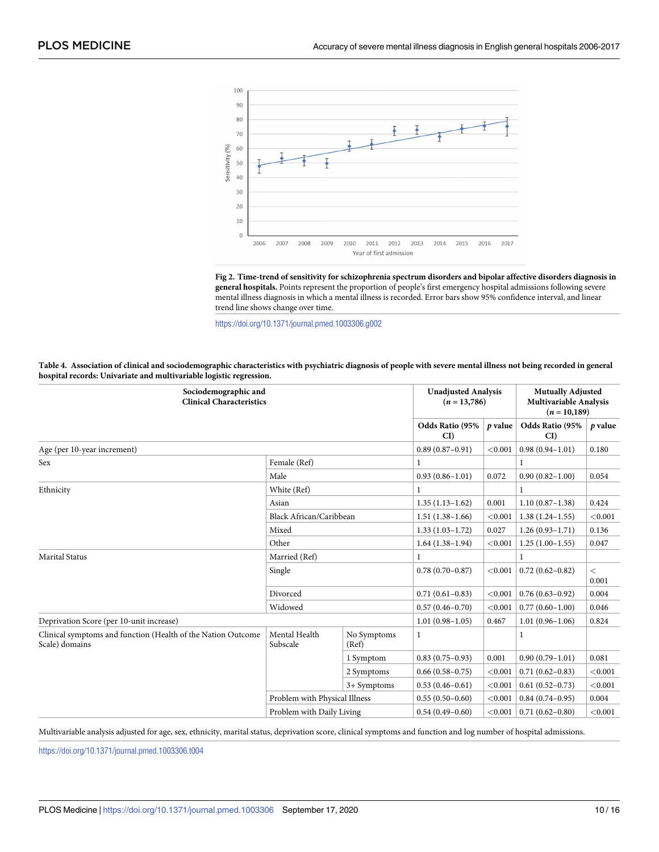<span id="page-9-0"></span>



<https://doi.org/10.1371/journal.pmed.1003306.g002>

| Sociodemographic and<br><b>Clinical Characteristics</b>                        |                               |                               |                       | <b>Unadjusted Analysis</b><br>$(n = 13,786)$ |                       | <b>Mutually Adjusted</b><br><b>Multivariable Analysis</b><br>$(n = 10, 189)$ |  |
|--------------------------------------------------------------------------------|-------------------------------|-------------------------------|-----------------------|----------------------------------------------|-----------------------|------------------------------------------------------------------------------|--|
|                                                                                |                               |                               | Odds Ratio (95%<br>CI | p value                                      | Odds Ratio (95%<br>CI | p value                                                                      |  |
| Age (per 10-year increment)                                                    |                               |                               | $0.89(0.87-0.91)$     | < 0.001                                      | $0.98(0.94 - 1.01)$   | 0.180                                                                        |  |
| Sex                                                                            | Female (Ref)                  |                               | 1                     |                                              | 1                     |                                                                              |  |
|                                                                                | Male                          |                               | $0.93(0.86 - 1.01)$   | 0.072                                        | $0.90(0.82 - 1.00)$   | 0.054                                                                        |  |
| Ethnicity                                                                      | White (Ref)                   |                               | 1                     |                                              | 1                     |                                                                              |  |
|                                                                                | Asian                         |                               | $1.35(1.13-1.62)$     | 0.001                                        | $1.10(0.87 - 1.38)$   | 0.424                                                                        |  |
|                                                                                | Black African/Caribbean       |                               | $1.51(1.38-1.66)$     | < 0.001                                      | $1.38(1.24 - 1.55)$   | < 0.001                                                                      |  |
|                                                                                | Mixed                         |                               | $1.33(1.03-1.72)$     | 0.027                                        | $1.26(0.93 - 1.71)$   | 0.136                                                                        |  |
|                                                                                | Other                         |                               | $1.64(1.38-1.94)$     | < 0.001                                      | $1.25(1.00-1.55)$     | 0.047                                                                        |  |
| <b>Marital Status</b>                                                          | Married (Ref)                 |                               |                       |                                              |                       |                                                                              |  |
|                                                                                | Single<br>Divorced<br>Widowed |                               | $0.78(0.70 - 0.87)$   | < 0.001                                      | $0.72(0.62 - 0.82)$   | $\,<$<br>0.001                                                               |  |
|                                                                                |                               |                               | $0.71(0.61 - 0.83)$   | < 0.001                                      | $0.76(0.63 - 0.92)$   | 0.004                                                                        |  |
|                                                                                |                               |                               | $0.57(0.46 - 0.70)$   | < 0.001                                      | $0.77(0.60 - 1.00)$   | 0.046                                                                        |  |
| Deprivation Score (per 10-unit increase)                                       |                               |                               | $1.01(0.98-1.05)$     | 0.467                                        | $1.01(0.96 - 1.06)$   | 0.824                                                                        |  |
| Clinical symptoms and function (Health of the Nation Outcome<br>Scale) domains | Mental Health<br>Subscale     | No Symptoms<br>(Ref)          | 1                     |                                              | 1                     |                                                                              |  |
|                                                                                |                               | 1 Symptom                     | $0.83(0.75-0.93)$     | 0.001                                        | $0.90(0.79 - 1.01)$   | 0.081                                                                        |  |
|                                                                                |                               | 2 Symptoms                    | $0.66(0.58 - 0.75)$   | < 0.001                                      | $0.71(0.62 - 0.83)$   | < 0.001                                                                      |  |
|                                                                                |                               | 3+ Symptoms                   | $0.53(0.46 - 0.61)$   | < 0.001                                      | $0.61(0.52 - 0.73)$   | < 0.001                                                                      |  |
|                                                                                |                               | Problem with Physical Illness |                       | < 0.001                                      | $0.84(0.74-0.95)$     | 0.004                                                                        |  |
|                                                                                | Problem with Daily Living     |                               | $0.54(0.49 - 0.60)$   | < 0.001                                      | $0.71(0.62 - 0.80)$   | < 0.001                                                                      |  |

#### [Table](#page-8-0) 4. Association of clinical and sociodemographic characteristics with psychiatric diagnosis of people with severe mental illness not being recorded in general **hospital records: Univariate and multivariable logistic regression.**

Multivariable analysis adjusted for age, sex, ethnicity, marital status, deprivation score, clinical symptoms and function and log number of hospital admissions.

<https://doi.org/10.1371/journal.pmed.1003306.t004>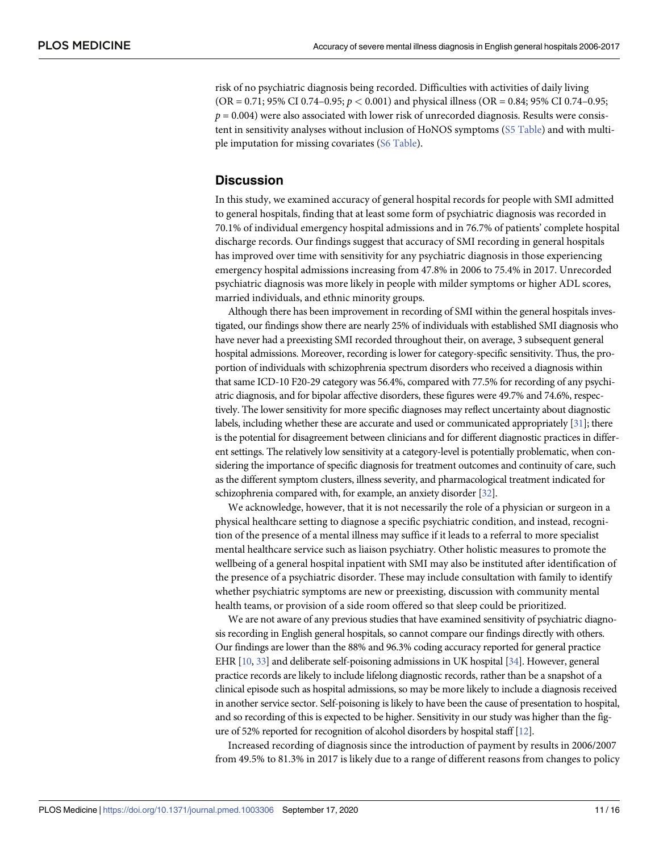<span id="page-10-0"></span>risk of no psychiatric diagnosis being recorded. Difficulties with activities of daily living (OR = 0.71; 95% CI 0.74–0.95; *p <* 0.001) and physical illness (OR = 0.84; 95% CI 0.74–0.95;  $p = 0.004$ ) were also associated with lower risk of unrecorded diagnosis. Results were consistent in sensitivity analyses without inclusion of HoNOS symptoms (S5 [Table](#page-13-0)) and with multiple imputation for missing covariates (S6 [Table](#page-13-0)).

#### **Discussion**

In this study, we examined accuracy of general hospital records for people with SMI admitted to general hospitals, finding that at least some form of psychiatric diagnosis was recorded in 70.1% of individual emergency hospital admissions and in 76.7% of patients' complete hospital discharge records. Our findings suggest that accuracy of SMI recording in general hospitals has improved over time with sensitivity for any psychiatric diagnosis in those experiencing emergency hospital admissions increasing from 47.8% in 2006 to 75.4% in 2017. Unrecorded psychiatric diagnosis was more likely in people with milder symptoms or higher ADL scores, married individuals, and ethnic minority groups.

Although there has been improvement in recording of SMI within the general hospitals investigated, our findings show there are nearly 25% of individuals with established SMI diagnosis who have never had a preexisting SMI recorded throughout their, on average, 3 subsequent general hospital admissions. Moreover, recording is lower for category-specific sensitivity. Thus, the proportion of individuals with schizophrenia spectrum disorders who received a diagnosis within that same ICD-10 F20-29 category was 56.4%, compared with 77.5% for recording of any psychiatric diagnosis, and for bipolar affective disorders, these figures were 49.7% and 74.6%, respectively. The lower sensitivity for more specific diagnoses may reflect uncertainty about diagnostic labels, including whether these are accurate and used or communicated appropriately [\[31](#page-15-0)]; there is the potential for disagreement between clinicians and for different diagnostic practices in different settings. The relatively low sensitivity at a category-level is potentially problematic, when considering the importance of specific diagnosis for treatment outcomes and continuity of care, such as the different symptom clusters, illness severity, and pharmacological treatment indicated for schizophrenia compared with, for example, an anxiety disorder [\[32](#page-15-0)].

We acknowledge, however, that it is not necessarily the role of a physician or surgeon in a physical healthcare setting to diagnose a specific psychiatric condition, and instead, recognition of the presence of a mental illness may suffice if it leads to a referral to more specialist mental healthcare service such as liaison psychiatry. Other holistic measures to promote the wellbeing of a general hospital inpatient with SMI may also be instituted after identification of the presence of a psychiatric disorder. These may include consultation with family to identify whether psychiatric symptoms are new or preexisting, discussion with community mental health teams, or provision of a side room offered so that sleep could be prioritized.

We are not aware of any previous studies that have examined sensitivity of psychiatric diagnosis recording in English general hospitals, so cannot compare our findings directly with others. Our findings are lower than the 88% and 96.3% coding accuracy reported for general practice EHR [[10,](#page-14-0) [33](#page-15-0)] and deliberate self-poisoning admissions in UK hospital [[34\]](#page-15-0). However, general practice records are likely to include lifelong diagnostic records, rather than be a snapshot of a clinical episode such as hospital admissions, so may be more likely to include a diagnosis received in another service sector. Self-poisoning is likely to have been the cause of presentation to hospital, and so recording of this is expected to be higher. Sensitivity in our study was higher than the figure of 52% reported for recognition of alcohol disorders by hospital staff [\[12](#page-14-0)].

Increased recording of diagnosis since the introduction of payment by results in 2006/2007 from 49.5% to 81.3% in 2017 is likely due to a range of different reasons from changes to policy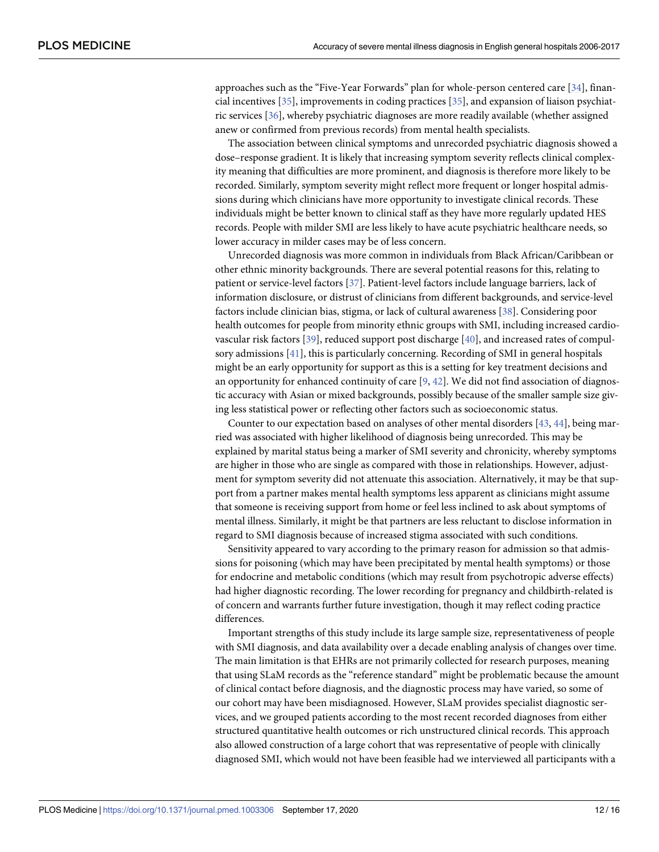<span id="page-11-0"></span>approaches such as the "Five-Year Forwards" plan for whole-person centered care [[34](#page-15-0)], financial incentives [[35](#page-15-0)], improvements in coding practices [\[35\]](#page-15-0), and expansion of liaison psychiatric services [\[36\]](#page-15-0), whereby psychiatric diagnoses are more readily available (whether assigned anew or confirmed from previous records) from mental health specialists.

The association between clinical symptoms and unrecorded psychiatric diagnosis showed a dose–response gradient. It is likely that increasing symptom severity reflects clinical complexity meaning that difficulties are more prominent, and diagnosis is therefore more likely to be recorded. Similarly, symptom severity might reflect more frequent or longer hospital admissions during which clinicians have more opportunity to investigate clinical records. These individuals might be better known to clinical staff as they have more regularly updated HES records. People with milder SMI are less likely to have acute psychiatric healthcare needs, so lower accuracy in milder cases may be of less concern.

Unrecorded diagnosis was more common in individuals from Black African/Caribbean or other ethnic minority backgrounds. There are several potential reasons for this, relating to patient or service-level factors [\[37\]](#page-15-0). Patient-level factors include language barriers, lack of information disclosure, or distrust of clinicians from different backgrounds, and service-level factors include clinician bias, stigma, or lack of cultural awareness [[38](#page-15-0)]. Considering poor health outcomes for people from minority ethnic groups with SMI, including increased cardiovascular risk factors [\[39\]](#page-15-0), reduced support post discharge [\[40](#page-15-0)], and increased rates of compulsory admissions [\[41\]](#page-15-0), this is particularly concerning. Recording of SMI in general hospitals might be an early opportunity for support as this is a setting for key treatment decisions and an opportunity for enhanced continuity of care [[9](#page-14-0), [42](#page-15-0)]. We did not find association of diagnostic accuracy with Asian or mixed backgrounds, possibly because of the smaller sample size giving less statistical power or reflecting other factors such as socioeconomic status.

Counter to our expectation based on analyses of other mental disorders [[43](#page-15-0), [44](#page-15-0)], being married was associated with higher likelihood of diagnosis being unrecorded. This may be explained by marital status being a marker of SMI severity and chronicity, whereby symptoms are higher in those who are single as compared with those in relationships. However, adjustment for symptom severity did not attenuate this association. Alternatively, it may be that support from a partner makes mental health symptoms less apparent as clinicians might assume that someone is receiving support from home or feel less inclined to ask about symptoms of mental illness. Similarly, it might be that partners are less reluctant to disclose information in regard to SMI diagnosis because of increased stigma associated with such conditions.

Sensitivity appeared to vary according to the primary reason for admission so that admissions for poisoning (which may have been precipitated by mental health symptoms) or those for endocrine and metabolic conditions (which may result from psychotropic adverse effects) had higher diagnostic recording. The lower recording for pregnancy and childbirth-related is of concern and warrants further future investigation, though it may reflect coding practice differences.

Important strengths of this study include its large sample size, representativeness of people with SMI diagnosis, and data availability over a decade enabling analysis of changes over time. The main limitation is that EHRs are not primarily collected for research purposes, meaning that using SLaM records as the "reference standard" might be problematic because the amount of clinical contact before diagnosis, and the diagnostic process may have varied, so some of our cohort may have been misdiagnosed. However, SLaM provides specialist diagnostic services, and we grouped patients according to the most recent recorded diagnoses from either structured quantitative health outcomes or rich unstructured clinical records. This approach also allowed construction of a large cohort that was representative of people with clinically diagnosed SMI, which would not have been feasible had we interviewed all participants with a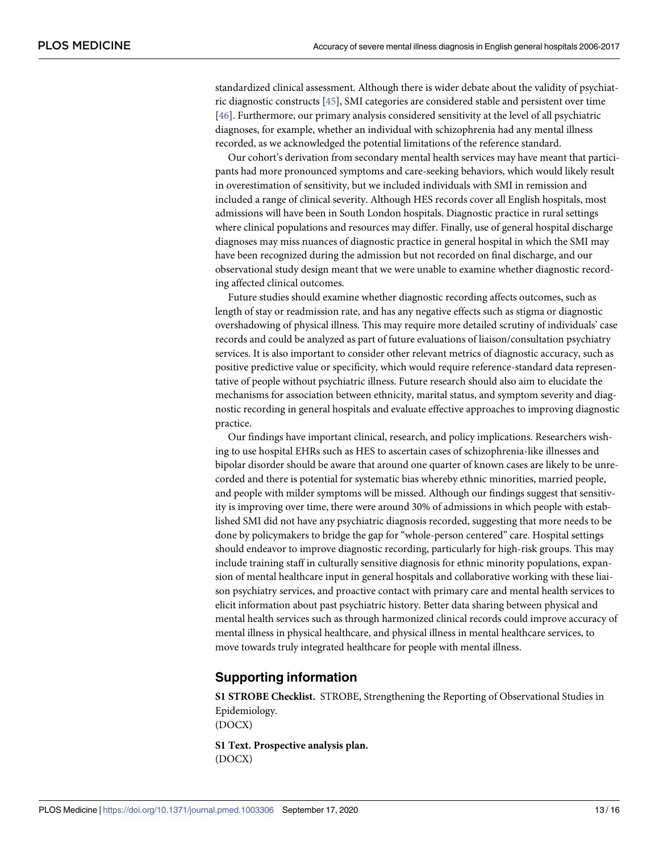<span id="page-12-0"></span>standardized clinical assessment. Although there is wider debate about the validity of psychiatric diagnostic constructs [[45](#page-15-0)], SMI categories are considered stable and persistent over time [\[46\]](#page-15-0). Furthermore, our primary analysis considered sensitivity at the level of all psychiatric diagnoses, for example, whether an individual with schizophrenia had any mental illness recorded, as we acknowledged the potential limitations of the reference standard.

Our cohort's derivation from secondary mental health services may have meant that participants had more pronounced symptoms and care-seeking behaviors, which would likely result in overestimation of sensitivity, but we included individuals with SMI in remission and included a range of clinical severity. Although HES records cover all English hospitals, most admissions will have been in South London hospitals. Diagnostic practice in rural settings where clinical populations and resources may differ. Finally, use of general hospital discharge diagnoses may miss nuances of diagnostic practice in general hospital in which the SMI may have been recognized during the admission but not recorded on final discharge, and our observational study design meant that we were unable to examine whether diagnostic recording affected clinical outcomes.

Future studies should examine whether diagnostic recording affects outcomes, such as length of stay or readmission rate, and has any negative effects such as stigma or diagnostic overshadowing of physical illness. This may require more detailed scrutiny of individuals' case records and could be analyzed as part of future evaluations of liaison/consultation psychiatry services. It is also important to consider other relevant metrics of diagnostic accuracy, such as positive predictive value or specificity, which would require reference-standard data representative of people without psychiatric illness. Future research should also aim to elucidate the mechanisms for association between ethnicity, marital status, and symptom severity and diagnostic recording in general hospitals and evaluate effective approaches to improving diagnostic practice.

Our findings have important clinical, research, and policy implications. Researchers wishing to use hospital EHRs such as HES to ascertain cases of schizophrenia-like illnesses and bipolar disorder should be aware that around one quarter of known cases are likely to be unrecorded and there is potential for systematic bias whereby ethnic minorities, married people, and people with milder symptoms will be missed. Although our findings suggest that sensitivity is improving over time, there were around 30% of admissions in which people with established SMI did not have any psychiatric diagnosis recorded, suggesting that more needs to be done by policymakers to bridge the gap for "whole-person centered" care. Hospital settings should endeavor to improve diagnostic recording, particularly for high-risk groups. This may include training staff in culturally sensitive diagnosis for ethnic minority populations, expansion of mental healthcare input in general hospitals and collaborative working with these liaison psychiatry services, and proactive contact with primary care and mental health services to elicit information about past psychiatric history. Better data sharing between physical and mental health services such as through harmonized clinical records could improve accuracy of mental illness in physical healthcare, and physical illness in mental healthcare services, to move towards truly integrated healthcare for people with mental illness.

## **Supporting information**

**S1 STROBE [Checklist.](http://journals.plos.org/plosmedicine/article/asset?unique&id=info:doi/10.1371/journal.pmed.1003306.s001)** STROBE, Strengthening the Reporting of Observational Studies in Epidemiology.

(DOCX)

**S1 [Text](http://journals.plos.org/plosmedicine/article/asset?unique&id=info:doi/10.1371/journal.pmed.1003306.s002). Prospective analysis plan.** (DOCX)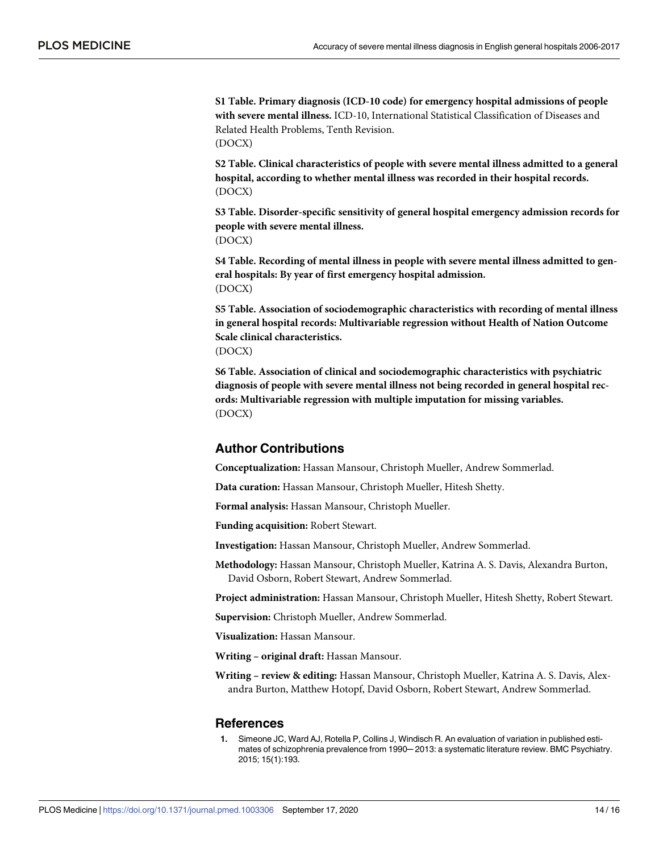<span id="page-13-0"></span>**S1 [Table.](http://journals.plos.org/plosmedicine/article/asset?unique&id=info:doi/10.1371/journal.pmed.1003306.s003) Primary diagnosis (ICD-10 code) for emergency hospital admissions of people with severe mental illness.** ICD-10, International Statistical Classification of Diseases and Related Health Problems, Tenth Revision. (DOCX)

**S2 [Table.](http://journals.plos.org/plosmedicine/article/asset?unique&id=info:doi/10.1371/journal.pmed.1003306.s004) Clinical characteristics of people with severe mental illness admitted to a general hospital, according to whether mental illness was recorded in their hospital records.** (DOCX)

**S3 [Table.](http://journals.plos.org/plosmedicine/article/asset?unique&id=info:doi/10.1371/journal.pmed.1003306.s005) Disorder-specific sensitivity of general hospital emergency admission records for people with severe mental illness.** (DOCX)

**S4 [Table.](http://journals.plos.org/plosmedicine/article/asset?unique&id=info:doi/10.1371/journal.pmed.1003306.s006) Recording of mental illness in people with severe mental illness admitted to general hospitals: By year of first emergency hospital admission.** (DOCX)

**S5 [Table.](http://journals.plos.org/plosmedicine/article/asset?unique&id=info:doi/10.1371/journal.pmed.1003306.s007) Association of sociodemographic characteristics with recording of mental illness in general hospital records: Multivariable regression without Health of Nation Outcome Scale clinical characteristics.** (DOCX)

**S6 [Table.](http://journals.plos.org/plosmedicine/article/asset?unique&id=info:doi/10.1371/journal.pmed.1003306.s008) Association of clinical and sociodemographic characteristics with psychiatric diagnosis of people with severe mental illness not being recorded in general hospital records: Multivariable regression with multiple imputation for missing variables.** (DOCX)

## **Author Contributions**

**Conceptualization:** Hassan Mansour, Christoph Mueller, Andrew Sommerlad.

**Data curation:** Hassan Mansour, Christoph Mueller, Hitesh Shetty.

**Formal analysis:** Hassan Mansour, Christoph Mueller.

**Funding acquisition:** Robert Stewart.

**Investigation:** Hassan Mansour, Christoph Mueller, Andrew Sommerlad.

**Methodology:** Hassan Mansour, Christoph Mueller, Katrina A. S. Davis, Alexandra Burton, David Osborn, Robert Stewart, Andrew Sommerlad.

**Project administration:** Hassan Mansour, Christoph Mueller, Hitesh Shetty, Robert Stewart.

**Supervision:** Christoph Mueller, Andrew Sommerlad.

**Visualization:** Hassan Mansour.

**Writing – original draft:** Hassan Mansour.

**Writing – review & editing:** Hassan Mansour, Christoph Mueller, Katrina A. S. Davis, Alexandra Burton, Matthew Hotopf, David Osborn, Robert Stewart, Andrew Sommerlad.

#### **References**

**[1](#page-2-0).** Simeone JC, Ward AJ, Rotella P, Collins J, Windisch R. An evaluation of variation in published estimates of schizophrenia prevalence from 1990-2013: a systematic literature review. BMC Psychiatry. 2015; 15(1):193.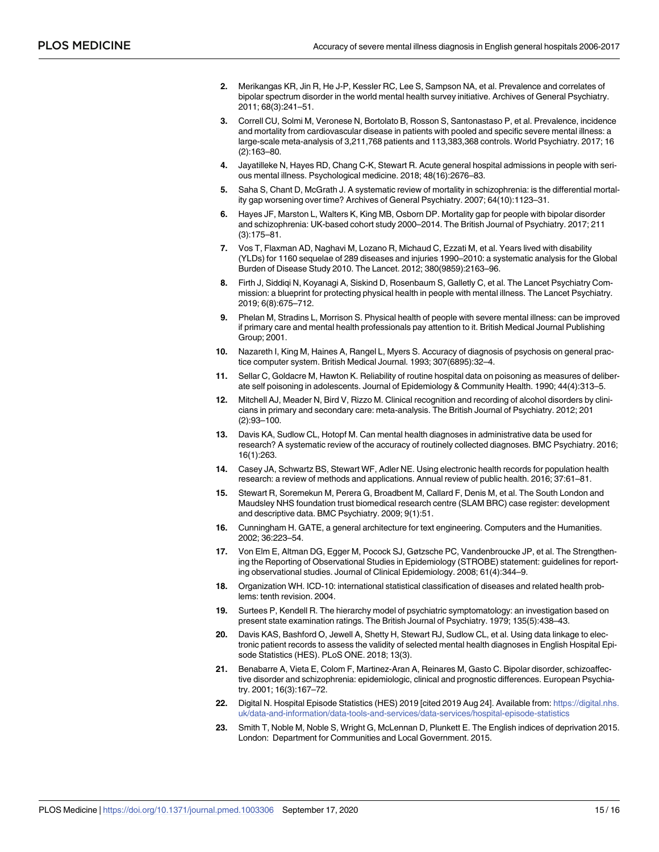- <span id="page-14-0"></span>**[2](#page-2-0).** Merikangas KR, Jin R, He J-P, Kessler RC, Lee S, Sampson NA, et al. Prevalence and correlates of bipolar spectrum disorder in the world mental health survey initiative. Archives of General Psychiatry. 2011; 68(3):241–51.
- **[3](#page-2-0).** Correll CU, Solmi M, Veronese N, Bortolato B, Rosson S, Santonastaso P, et al. Prevalence, incidence and mortality from cardiovascular disease in patients with pooled and specific severe mental illness: a large-scale meta-analysis of 3,211,768 patients and 113,383,368 controls. World Psychiatry. 2017; 16 (2):163–80.
- **[4](#page-2-0).** Jayatilleke N, Hayes RD, Chang C-K, Stewart R. Acute general hospital admissions in people with serious mental illness. Psychological medicine. 2018; 48(16):2676–83.
- **[5](#page-2-0).** Saha S, Chant D, McGrath J. A systematic review of mortality in schizophrenia: is the differential mortality gap worsening over time? Archives of General Psychiatry. 2007; 64(10):1123–31.
- **[6](#page-2-0).** Hayes JF, Marston L, Walters K, King MB, Osborn DP. Mortality gap for people with bipolar disorder and schizophrenia: UK-based cohort study 2000–2014. The British Journal of Psychiatry. 2017; 211 (3):175–81.
- **[7](#page-2-0).** Vos T, Flaxman AD, Naghavi M, Lozano R, Michaud C, Ezzati M, et al. Years lived with disability (YLDs) for 1160 sequelae of 289 diseases and injuries 1990–2010: a systematic analysis for the Global Burden of Disease Study 2010. The Lancet. 2012; 380(9859):2163–96.
- **[8](#page-2-0).** Firth J, Siddiqi N, Koyanagi A, Siskind D, Rosenbaum S, Galletly C, et al. The Lancet Psychiatry Commission: a blueprint for protecting physical health in people with mental illness. The Lancet Psychiatry. 2019; 6(8):675–712.
- **[9](#page-2-0).** Phelan M, Stradins L, Morrison S. Physical health of people with severe mental illness: can be improved if primary care and mental health professionals pay attention to it. British Medical Journal Publishing Group; 2001.
- **[10](#page-2-0).** Nazareth I, King M, Haines A, Rangel L, Myers S. Accuracy of diagnosis of psychosis on general practice computer system. British Medical Journal. 1993; 307(6895):32–4.
- **[11](#page-2-0).** Sellar C, Goldacre M, Hawton K. Reliability of routine hospital data on poisoning as measures of deliberate self poisoning in adolescents. Journal of Epidemiology & Community Health. 1990; 44(4):313–5.
- **[12](#page-2-0).** Mitchell AJ, Meader N, Bird V, Rizzo M. Clinical recognition and recording of alcohol disorders by clinicians in primary and secondary care: meta-analysis. The British Journal of Psychiatry. 2012; 201 (2):93–100.
- **[13](#page-2-0).** Davis KA, Sudlow CL, Hotopf M. Can mental health diagnoses in administrative data be used for research? A systematic review of the accuracy of routinely collected diagnoses. BMC Psychiatry. 2016; 16(1):263.
- **[14](#page-2-0).** Casey JA, Schwartz BS, Stewart WF, Adler NE. Using electronic health records for population health research: a review of methods and applications. Annual review of public health. 2016; 37:61–81.
- **[15](#page-2-0).** Stewart R, Soremekun M, Perera G, Broadbent M, Callard F, Denis M, et al. The South London and Maudsley NHS foundation trust biomedical research centre (SLAM BRC) case register: development and descriptive data. BMC Psychiatry. 2009; 9(1):51.
- **[16](#page-2-0).** Cunningham H. GATE, a general architecture for text engineering. Computers and the Humanities. 2002; 36:223–54.
- **[17](#page-3-0).** Von Elm E, Altman DG, Egger M, Pocock SJ, Gøtzsche PC, Vandenbroucke JP, et al. The Strengthening the Reporting of Observational Studies in Epidemiology (STROBE) statement: guidelines for reporting observational studies. Journal of Clinical Epidemiology. 2008; 61(4):344–9.
- **[18](#page-3-0).** Organization WH. ICD-10: international statistical classification of diseases and related health problems: tenth revision. 2004.
- **[19](#page-3-0).** Surtees P, Kendell R. The hierarchy model of psychiatric symptomatology: an investigation based on present state examination ratings. The British Journal of Psychiatry. 1979; 135(5):438–43.
- **[20](#page-3-0).** Davis KAS, Bashford O, Jewell A, Shetty H, Stewart RJ, Sudlow CL, et al. Using data linkage to electronic patient records to assess the validity of selected mental health diagnoses in English Hospital Episode Statistics (HES). PLoS ONE. 2018; 13(3).
- **[21](#page-3-0).** Benabarre A, Vieta E, Colom F, Martinez-Aran A, Reinares M, Gasto C. Bipolar disorder, schizoaffective disorder and schizophrenia: epidemiologic, clinical and prognostic differences. European Psychiatry. 2001; 16(3):167–72.
- **[22](#page-3-0).** Digital N. Hospital Episode Statistics (HES) 2019 [cited 2019 Aug 24]. Available from: [https://digital.nhs.](https://digital.nhs.uk/data-and-information/data-tools-and-services/data-services/hospital-episode-statistics) [uk/data-and-information/data-tools-and-services/data-services/hospital-episode-statistics](https://digital.nhs.uk/data-and-information/data-tools-and-services/data-services/hospital-episode-statistics)
- **[23](#page-4-0).** Smith T, Noble M, Noble S, Wright G, McLennan D, Plunkett E. The English indices of deprivation 2015. London: Department for Communities and Local Government. 2015.